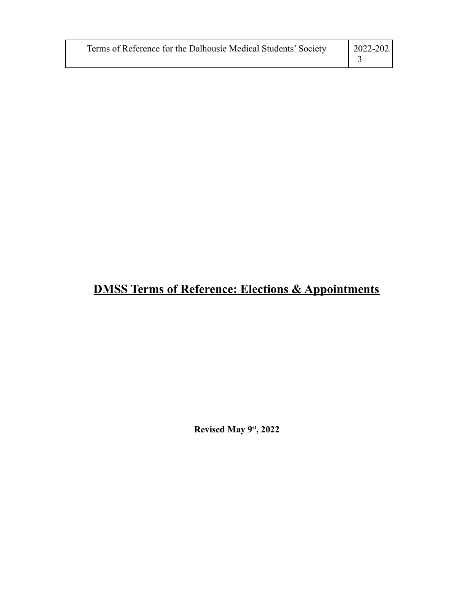| Terms of Reference for the Dalhousie Medical Students' Society | $2022 - 202$ |
|----------------------------------------------------------------|--------------|
|----------------------------------------------------------------|--------------|

# **DMSS Terms of Reference: Elections & Appointments**

**Revised May 9st , 2022**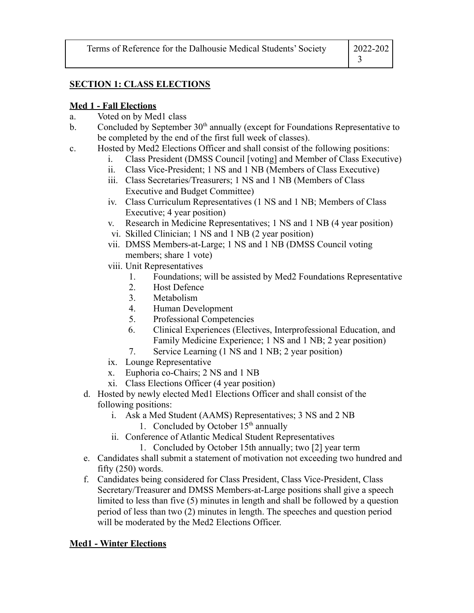| Terms of Reference for the Dalhousie Medical Students' Society | 2022-202 |
|----------------------------------------------------------------|----------|
|                                                                |          |

# **SECTION 1: CLASS ELECTIONS**

# **Med 1 - Fall Elections**

- a. Voted on by Med1 class
- b. Concluded by September  $30<sup>th</sup>$  annually (except for Foundations Representative to be completed by the end of the first full week of classes).
- c. Hosted by Med2 Elections Officer and shall consist of the following positions:
	- i. Class President (DMSS Council [voting] and Member of Class Executive)
	- ii. Class Vice-President; 1 NS and 1 NB (Members of Class Executive)
	- iii. Class Secretaries/Treasurers; 1 NS and 1 NB (Members of Class Executive and Budget Committee)
	- iv. Class Curriculum Representatives (1 NS and 1 NB; Members of Class Executive; 4 year position)
	- v. Research in Medicine Representatives; 1 NS and 1 NB (4 year position)
	- vi. Skilled Clinician; 1 NS and 1 NB (2 year position)
	- vii. DMSS Members-at-Large; 1 NS and 1 NB (DMSS Council voting members; share 1 vote)
	- viii. Unit Representatives
		- 1. Foundations; will be assisted by Med2 Foundations Representative
		- 2. Host Defence
		- 3. Metabolism
		- 4. Human Development
		- 5. Professional Competencies
		- 6. Clinical Experiences (Electives, Interprofessional Education, and Family Medicine Experience; 1 NS and 1 NB; 2 year position)
		- 7. Service Learning (1 NS and 1 NB; 2 year position)
	- ix. Lounge Representative
	- x. Euphoria co-Chairs; 2 NS and 1 NB
	- xi. Class Elections Officer (4 year position)
	- d. Hosted by newly elected Med1 Elections Officer and shall consist of the following positions:
		- i. Ask a Med Student (AAMS) Representatives; 3 NS and 2 NB
			- 1. Concluded by October  $15<sup>th</sup>$  annually
		- ii. Conference of Atlantic Medical Student Representatives
			- 1. Concluded by October 15th annually; two [2] year term
	- e. Candidates shall submit a statement of motivation not exceeding two hundred and fifty (250) words.
	- f. Candidates being considered for Class President, Class Vice-President, Class Secretary/Treasurer and DMSS Members-at-Large positions shall give a speech limited to less than five  $(5)$  minutes in length and shall be followed by a question period of less than two (2) minutes in length. The speeches and question period will be moderated by the Med2 Elections Officer.

#### **Med1 - Winter Elections**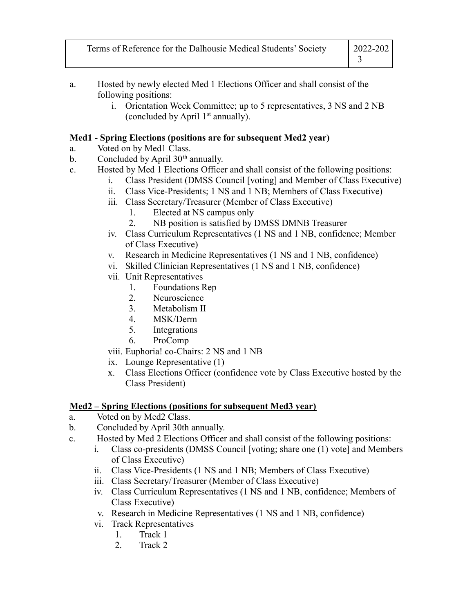| Terms of Reference for the Dalhousie Medical Students' Society | $ 2022 - 202 $ |
|----------------------------------------------------------------|----------------|
|                                                                |                |

- a. Hosted by newly elected Med 1 Elections Officer and shall consist of the following positions:
	- i. Orientation Week Committee; up to 5 representatives, 3 NS and 2 NB (concluded by April  $1<sup>st</sup>$  annually).

## **Med1 - Spring Elections (positions are for subsequent Med2 year)**

- a. Voted on by Med1 Class.
- b. Concluded by April  $30<sup>th</sup>$  annually.
- c. Hosted by Med 1 Elections Officer and shall consist of the following positions:
	- i. Class President (DMSS Council [voting] and Member of Class Executive)
	- ii. Class Vice-Presidents; 1 NS and 1 NB; Members of Class Executive)
	- iii. Class Secretary/Treasurer (Member of Class Executive)
		- 1. Elected at NS campus only
		- 2. NB position is satisfied by DMSS DMNB Treasurer
	- iv. Class Curriculum Representatives (1 NS and 1 NB, confidence; Member of Class Executive)
	- v. Research in Medicine Representatives (1 NS and 1 NB, confidence)
	- vi. Skilled Clinician Representatives (1 NS and 1 NB, confidence)
	- vii. Unit Representatives
		- 1. Foundations Rep
		- 2. Neuroscience
		- 3. Metabolism II
		- 4. MSK/Derm
		- 5. Integrations
		- 6. ProComp
	- viii. Euphoria! co-Chairs: 2 NS and 1 NB
	- ix. Lounge Representative (1)
	- x. Class Elections Officer (confidence vote by Class Executive hosted by the Class President)

# **Med2 – Spring Elections (positions for subsequent Med3 year)**

- a. Voted on by Med2 Class.
- b. Concluded by April 30th annually.
- c. Hosted by Med 2 Elections Officer and shall consist of the following positions:
	- i. Class co-presidents (DMSS Council [voting; share one (1) vote] and Members of Class Executive)
	- ii. Class Vice-Presidents (1 NS and 1 NB; Members of Class Executive)
	- iii. Class Secretary/Treasurer (Member of Class Executive)
	- iv. Class Curriculum Representatives (1 NS and 1 NB, confidence; Members of Class Executive)
	- v. Research in Medicine Representatives (1 NS and 1 NB, confidence)
	- vi. Track Representatives
		- 1. Track 1
		- 2. Track 2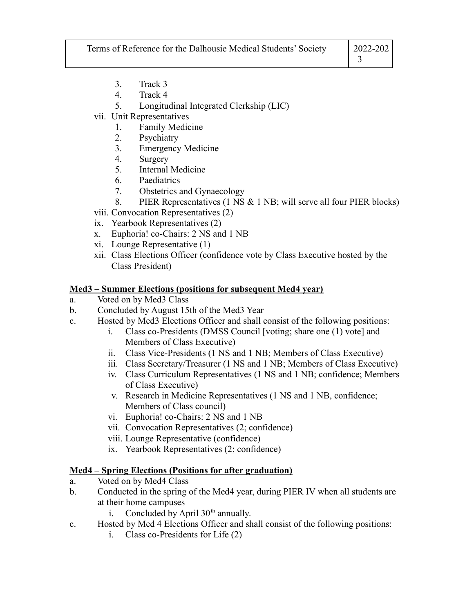| Terms of Reference for the Dalhousie Medical Students' Society | $ 2022 - 202 $ |
|----------------------------------------------------------------|----------------|
|                                                                |                |

- 3. Track 3
- 4. Track 4
- 5. Longitudinal Integrated Clerkship (LIC)
- vii. Unit Representatives
	- 1. Family Medicine
	- 2. Psychiatry
	- 3. Emergency Medicine
	- 4. Surgery
	- 5. Internal Medicine
	- 6. Paediatrics
	- 7. Obstetrics and Gynaecology
	- 8. PIER Representatives (1 NS & 1 NB; will serve all four PIER blocks)
- viii. Convocation Representatives (2)
- ix. Yearbook Representatives (2)
- x. Euphoria! co-Chairs: 2 NS and 1 NB
- xi. Lounge Representative (1)
- xii. Class Elections Officer (confidence vote by Class Executive hosted by the Class President)

#### **Med3 – Summer Elections (positions for subsequent Med4 year)**

- a. Voted on by Med3 Class
- b. Concluded by August 15th of the Med3 Year
- c. Hosted by Med3 Elections Officer and shall consist of the following positions:
	- i. Class co-Presidents (DMSS Council [voting; share one (1) vote] and Members of Class Executive)
	- ii. Class Vice-Presidents (1 NS and 1 NB; Members of Class Executive)
	- iii. Class Secretary/Treasurer (1 NS and 1 NB; Members of Class Executive)
	- iv. Class Curriculum Representatives (1 NS and 1 NB; confidence; Members of Class Executive)
	- v. Research in Medicine Representatives (1 NS and 1 NB, confidence; Members of Class council)
	- vi. Euphoria! co-Chairs: 2 NS and 1 NB
	- vii. Convocation Representatives (2; confidence)
	- viii. Lounge Representative (confidence)
	- ix. Yearbook Representatives (2; confidence)

#### **Med4 – Spring Elections (Positions for after graduation)**

- a. Voted on by Med4 Class
- b. Conducted in the spring of the Med4 year, during PIER IV when all students are at their home campuses
	- i. Concluded by April  $30<sup>th</sup>$  annually.
- c. Hosted by Med 4 Elections Officer and shall consist of the following positions:
	- i. Class co-Presidents for Life (2)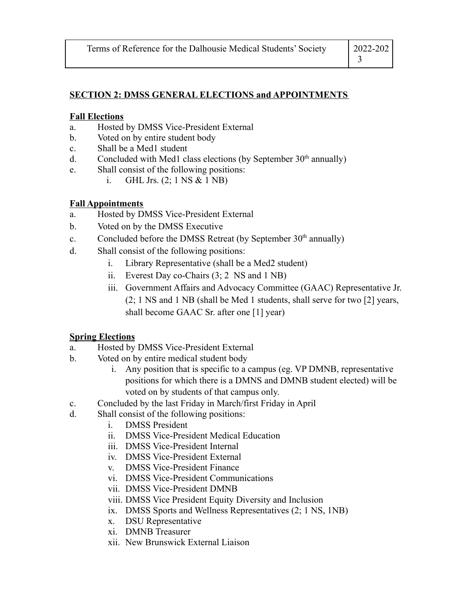#### **SECTION 2: DMSS GENERAL ELECTIONS and APPOINTMENTS**

#### **Fall Elections**

- a. Hosted by DMSS Vice-President External
- b. Voted on by entire student body
- c. Shall be a Med1 student
- d. Concluded with Med1 class elections (by September  $30<sup>th</sup>$  annually)
- e. Shall consist of the following positions:
	- i. GHL Jrs. (2; 1 NS & 1 NB)

#### **Fall Appointments**

- a. Hosted by DMSS Vice-President External
- b. Voted on by the DMSS Executive
- c. Concluded before the DMSS Retreat (by September  $30<sup>th</sup>$  annually)
- d. Shall consist of the following positions:
	- i. Library Representative (shall be a Med2 student)
	- ii. Everest Day co-Chairs (3; 2 NS and 1 NB)
	- iii. Government Affairs and Advocacy Committee (GAAC) Representative Jr. (2; 1 NS and 1 NB (shall be Med 1 students, shall serve for two [2] years, shall become GAAC Sr. after one [1] year)

## **Spring Elections**

- a. Hosted by DMSS Vice-President External
- b. Voted on by entire medical student body
	- i. Any position that is specific to a campus (eg. VP DMNB, representative positions for which there is a DMNS and DMNB student elected) will be voted on by students of that campus only.
- c. Concluded by the last Friday in March/first Friday in April
- d. Shall consist of the following positions:
	- i. DMSS President
	- ii. DMSS Vice-President Medical Education
	- iii. DMSS Vice-President Internal
	- iv. DMSS Vice-President External
	- v. DMSS Vice-President Finance
	- vi. DMSS Vice-President Communications
	- vii. DMSS Vice-President DMNB
	- viii. DMSS Vice President Equity Diversity and Inclusion
	- ix. DMSS Sports and Wellness Representatives (2; 1 NS, 1NB)
	- x. DSU Representative
	- xi. DMNB Treasurer
	- xii. New Brunswick External Liaison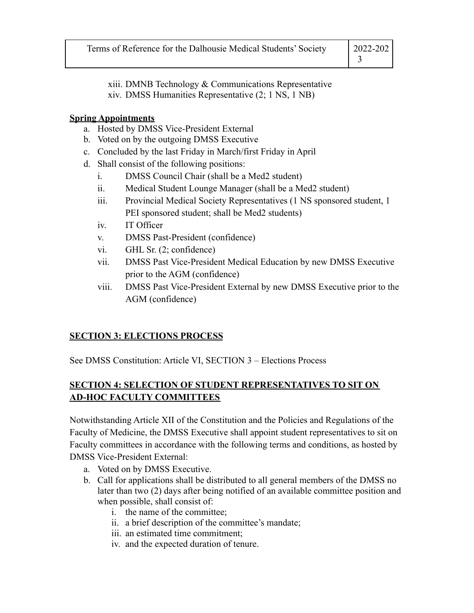| Terms of Reference for the Dalhousie Medical Students' Society | 2022-202 |
|----------------------------------------------------------------|----------|
|                                                                |          |

xiii. DMNB Technology & Communications Representative xiv. DMSS Humanities Representative (2; 1 NS, 1 NB)

## **Spring Appointments**

- a. Hosted by DMSS Vice-President External
- b. Voted on by the outgoing DMSS Executive
- c. Concluded by the last Friday in March/first Friday in April
- d. Shall consist of the following positions:
	- i. DMSS Council Chair (shall be a Med2 student)
	- ii. Medical Student Lounge Manager (shall be a Med2 student)
	- iii. Provincial Medical Society Representatives (1 NS sponsored student, 1 PEI sponsored student; shall be Med2 students)
	- iv. IT Officer
	- v. DMSS Past-President (confidence)
	- vi. GHL Sr. (2; confidence)
	- vii. DMSS Past Vice-President Medical Education by new DMSS Executive prior to the AGM (confidence)
	- viii. DMSS Past Vice-President External by new DMSS Executive prior to the AGM (confidence)

# **SECTION 3: ELECTIONS PROCESS**

See DMSS Constitution: Article VI, SECTION 3 – Elections Process

# **SECTION 4: SELECTION OF STUDENT REPRESENTATIVES TO SIT ON AD-HOC FACULTY COMMITTEES**

Notwithstanding Article XII of the Constitution and the Policies and Regulations of the Faculty of Medicine, the DMSS Executive shall appoint student representatives to sit on Faculty committees in accordance with the following terms and conditions, as hosted by DMSS Vice-President External:

- a. Voted on by DMSS Executive.
- b. Call for applications shall be distributed to all general members of the DMSS no later than two (2) days after being notified of an available committee position and when possible, shall consist of:
	- i. the name of the committee;
	- ii. a brief description of the committee's mandate;
	- iii. an estimated time commitment;
	- iv. and the expected duration of tenure.